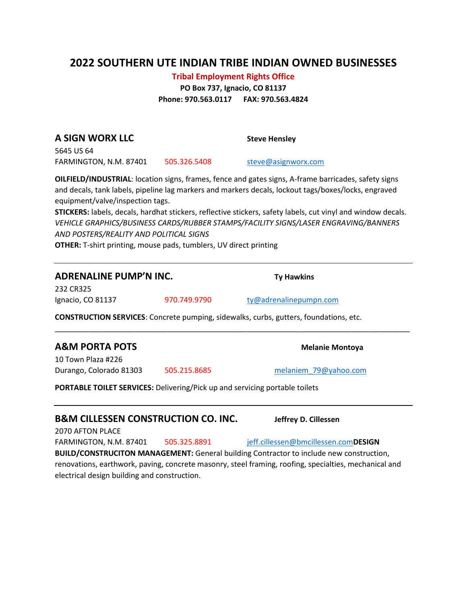# **2022 SOUTHERN UTE INDIAN TRIBE INDIAN OWNED BUSINESSES**

#### **Tribal Employment Rights Office**

**PO Box 737, Ignacio, CO 81137 Phone: 970.563.0117 FAX: 970.563.4824**

**A SIGN WORX LLC Steve Hensley** 5645 US 64

FARMINGTON, N.M. 87401 505.326.5408 [steve@asignworx.com](mailto:steve@asignworx.com)

**OILFIELD/INDUSTRIAL**: location signs, frames, fence and gates signs, A-frame barricades, safety signs and decals, tank labels, pipeline lag markers and markers decals, lockout tags/boxes/locks, engraved

**STICKERS:** labels, decals, hardhat stickers, reflective stickers, safety labels, cut vinyl and window decals. *VEHICLE GRAPHICS/BUSINESS CARDS/RUBBER STAMPS/FACILITY SIGNS/LASER ENGRAVING/BANNERS AND POSTERS/REALITY AND POLITICAL SIGNS*

\_\_\_\_\_\_\_\_\_\_\_\_\_\_\_\_\_\_\_\_\_\_\_\_\_\_\_\_\_\_\_\_\_\_\_\_\_\_\_\_\_\_\_\_\_\_\_\_\_\_\_\_\_\_\_\_\_\_\_\_\_\_\_\_\_\_\_\_\_\_\_\_\_\_\_\_\_\_\_\_\_\_\_\_\_

**OTHER:** T-shirt printing, mouse pads, tumblers, UV direct printing

### **ADRENALINE PUMP'N INC. Ty Hawkins**

232 CR325 Ignacio, CO 81137 970.749.9790 [ty@adrenalinepumpn.com](mailto:ty@adrenalinepumpn.com)

**CONSTRUCTION SERVICES**: Concrete pumping, sidewalks, curbs, gutters, foundations, etc.

#### **A&M PORTA POTS Melanie Montoya**

10 Town Plaza #226 Durango, Colorado 81303 505.215.8685 [melaniem\\_79@yahoo.com](mailto:melaniem_79@yahoo.com)

**PORTABLE TOILET SERVICES:** Delivering/Pick up and servicing portable toilets

#### **B&M CILLESSEN CONSTRUCTION CO. INC. Jeffrey D. Cillessen**

2070 AFTON PLACE

FARMINGTON, N.M. 87401 505.325.8891 [jeff.cillessen@bmcillessen.com](mailto:jeff.cillessen@bmcillessen.com)**DESIGN** 

**BUILD/CONSTRUCITON MANAGEMENT:** General building Contractor to include new construction, renovations, earthwork, paving, concrete masonry, steel framing, roofing, specialties, mechanical and electrical design building and construction.

equipment/valve/inspection tags.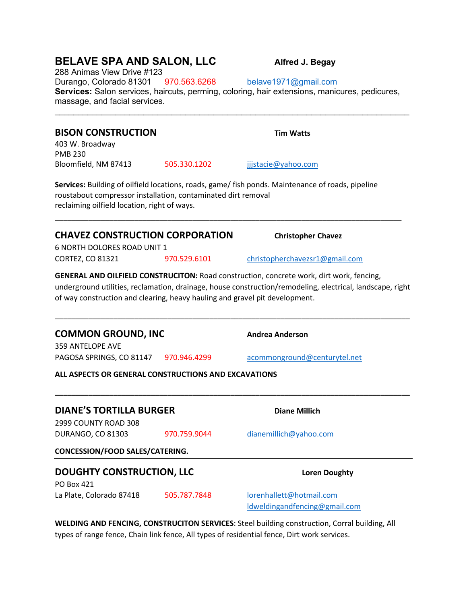# **BELAVE SPA AND SALON, LLC** Alfred J. Begay

288 Animas View Drive #123 Durango, Colorado 81301 970.563.6268 [belave1971@gmail.com](mailto:belave1971@gmail.com) **Services:** Salon services, haircuts, perming, coloring, hair extensions, manicures, pedicures, massage, and facial services.

\_\_\_\_\_\_\_\_\_\_\_\_\_\_\_\_\_\_\_\_\_\_\_\_\_\_\_\_\_\_\_\_\_\_\_\_\_\_\_\_\_\_\_\_\_\_\_\_\_\_\_\_\_\_\_\_\_\_\_\_\_\_\_\_\_\_\_\_\_\_\_\_\_\_\_\_

# **BISON CONSTRUCTION TIM Watts** 403 W. Broadway PMB 230 Bloomfield, NM 87413 505.330.1202 jijstacie@yahoo.com **Services:** Building of oilfield locations, roads, game/ fish ponds. Maintenance of roads, pipeline roustabout compressor installation, contaminated dirt removal reclaiming oilfield location, right of ways. \_\_\_\_\_\_\_\_\_\_\_\_\_\_\_\_\_\_\_\_\_\_\_\_\_\_\_\_\_\_\_\_\_\_\_\_\_\_\_\_\_\_\_\_\_\_\_\_\_\_\_\_\_\_\_\_\_\_\_\_\_\_\_\_\_\_\_\_\_\_\_\_\_\_\_\_\_\_\_\_\_\_\_ **CHAVEZ CONSTRUCTION CORPORATION Christopher Chavez** 6 NORTH DOLORES ROAD UNIT 1 CORTEZ, CO 81321 970.529.6101 [christopherchavezsr1@gmail.com](mailto:christopherchavezsr1@gmail.com) **GENERAL AND OILFIELD CONSTRUCITON:** Road construction, concrete work, dirt work, fencing, of way construction and clearing, heavy hauling and gravel pit development. \_\_\_\_\_\_\_\_\_\_\_\_\_\_\_\_\_\_\_\_\_\_\_\_\_\_\_\_\_\_\_\_\_\_\_\_\_\_\_\_\_\_\_\_\_\_\_\_\_\_\_\_\_\_\_\_\_\_\_\_\_\_\_\_\_\_\_\_\_\_\_\_\_\_\_\_\_\_\_\_\_\_\_\_\_ **COMMON GROUND, INC** Andrea Anderson 359 ANTELOPE AVE PAGOSA SPRINGS, CO 81147 970.946.4299 [acommonground@centurytel.net](mailto:acommonground@centurytel.net) **ALL ASPECTS OR GENERAL CONSTRUCTIONS AND EXCAVATIONS \_\_\_\_\_\_\_\_\_\_\_\_\_\_\_\_\_\_\_\_\_\_\_\_\_\_\_\_\_\_\_\_\_\_\_\_\_\_\_\_\_\_\_\_\_\_\_\_\_\_\_\_\_\_\_\_\_\_\_\_\_\_\_\_\_\_\_\_\_\_\_\_\_\_\_\_\_\_\_\_\_\_\_\_\_ DIANE'S TORTILLA BURGER Diane Millich** 2999 COUNTY ROAD 308 DURANGO, CO 81303 970.759.9044 [dianemillich@yahoo.com](mailto:dianemillich@yahoo.com) **CONCESSION/FOOD SALES/CATERING. DOUGHTY CONSTRUCTION, LLC** Loren Doughty PO Box 421 La Plate, Colorado 87418 505.787.7848 [lorenhallett@hotmail.com](mailto:lorenhallett@hotmail.com) [ldweldingandfencing@gmail.com](mailto:ldweldingandfencing@gmail.com) **WELDING AND FENCING, CONSTRUCITON SERVICES**: Steel building construction, Corral building, All types of range fence, Chain link fence, All types of residential fence, Dirt work services.

underground utilities, reclamation, drainage, house construction/remodeling, electrical, landscape, right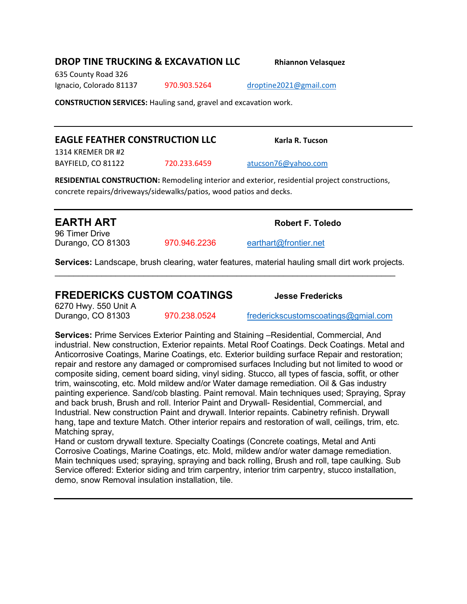### **DROP TINE TRUCKING & EXCAVATION LLC Rhiannon Velasquez**

635 County Road 326 Ignacio, Colorado 81137 970.903.5264 [droptine2021@gmail.com](mailto:droptine2021@gmail.com)

**CONSTRUCTION SERVICES:** Hauling sand, gravel and excavation work.

## **EAGLE FEATHER CONSTRUCTION LLC** Karla R. Tucson

1314 KREMER DR #2

BAYFIELD, CO 81122 720.233.6459 [atucson76@yahoo.com](mailto:atucson76@yahoo.com)

**RESIDENTIAL CONSTRUCTION:** Remodeling interior and exterior, residential project constructions, concrete repairs/driveways/sidewalks/patios, wood patios and decks.

96 Timer Drive Durango, CO 81303 970.946.2236 [earthart@frontier.net](mailto:earthart@frontier.net)

**Services:** Landscape, brush clearing, water features, material hauling small dirt work projects.  $\_$  , and the set of the set of the set of the set of the set of the set of the set of the set of the set of the set of the set of the set of the set of the set of the set of the set of the set of the set of the set of th

## **FREDERICKS CUSTOM COATINGS Jesse Fredericks**

6270 Hwy. 550 Unit A

Durango, CO 81303 970.238.0524 [frederickscustomscoatings@gmial.com](mailto:frederickscustomscoatings@gmial.com)

**Services:** Prime Services Exterior Painting and Staining –Residential, Commercial, And industrial. New construction, Exterior repaints. Metal Roof Coatings. Deck Coatings. Metal and Anticorrosive Coatings, Marine Coatings, etc. Exterior building surface Repair and restoration; repair and restore any damaged or compromised surfaces Including but not limited to wood or composite siding, cement board siding, vinyl siding. Stucco, all types of fascia, soffit, or other trim, wainscoting, etc. Mold mildew and/or Water damage remediation. Oil & Gas industry painting experience. Sand/cob blasting. Paint removal. Main techniques used; Spraying, Spray and back brush, Brush and roll. Interior Paint and Drywall- Residential, Commercial, and Industrial. New construction Paint and drywall. Interior repaints. Cabinetry refinish. Drywall hang, tape and texture Match. Other interior repairs and restoration of wall, ceilings, trim, etc. Matching spray,

Hand or custom drywall texture. Specialty Coatings (Concrete coatings, Metal and Anti Corrosive Coatings, Marine Coatings, etc. Mold, mildew and/or water damage remediation. Main techniques used; spraying, spraying and back rolling, Brush and roll, tape caulking. Sub Service offered: Exterior siding and trim carpentry, interior trim carpentry, stucco installation, demo, snow Removal insulation installation, tile.

**EARTH ART Robert F. Toledo**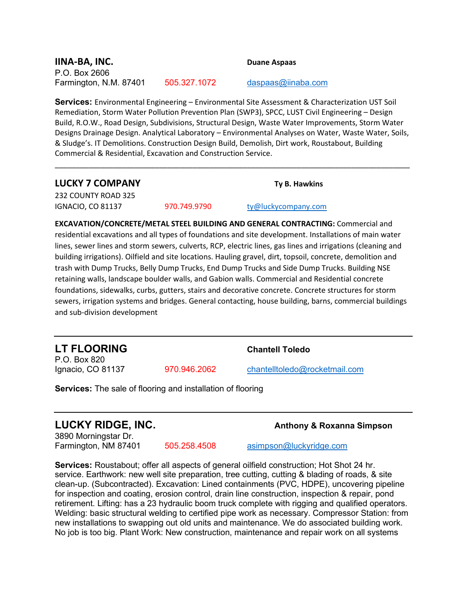### **IINA-BA, INC. Duane Aspaas** P.O. Box 2606 Farmington, N.M. 87401 505.327.1072 [daspaas@iinaba.com](mailto:daspaas@iinaba.com)

**Services:** Environmental Engineering – Environmental Site Assessment & Characterization UST Soil Remediation, Storm Water Pollution Prevention Plan (SWP3), SPCC, LUST Civil Engineering – Design Build, R.O.W., Road Design, Subdivisions, Structural Design, Waste Water Improvements, Storm Water Designs Drainage Design. Analytical Laboratory – Environmental Analyses on Water, Waste Water, Soils, & Sludge's. IT Demolitions. Construction Design Build, Demolish, Dirt work, Roustabout, Building Commercial & Residential, Excavation and Construction Service.

\_\_\_\_\_\_\_\_\_\_\_\_\_\_\_\_\_\_\_\_\_\_\_\_\_\_\_\_\_\_\_\_\_\_\_\_\_\_\_\_\_\_\_\_\_\_\_\_\_\_\_\_\_\_\_\_\_\_\_\_\_\_\_\_\_\_\_\_\_\_\_\_\_\_\_\_\_\_\_\_\_\_\_\_\_

# **LUCKY 7 COMPANY Ty B. Hawkins**

232 COUNTY ROAD 325 IGNACIO, CO 81137 970.749.9790 [ty@luckycompany.com](mailto:ty@luckycompany.com)

**EXCAVATION/CONCRETE/METAL STEEL BUILDING AND GENERAL CONTRACTING:** Commercial and residential excavations and all types of foundations and site development. Installations of main water lines, sewer lines and storm sewers, culverts, RCP, electric lines, gas lines and irrigations (cleaning and building irrigations). Oilfield and site locations. Hauling gravel, dirt, topsoil, concrete, demolition and trash with Dump Trucks, Belly Dump Trucks, End Dump Trucks and Side Dump Trucks. Building NSE retaining walls, landscape boulder walls, and Gabion walls. Commercial and Residential concrete foundations, sidewalks, curbs, gutters, stairs and decorative concrete. Concrete structures for storm sewers, irrigation systems and bridges. General contacting, house building, barns, commercial buildings and sub-division development

**LT FLOORING Chantell Toledo** P.O. Box 820

Ignacio, CO 81137 970.946.2062 [chantelltoledo@rocketmail.com](mailto:chantelltoledo@rocketmail.com)

**Services:** The sale of flooring and installation of flooring

# **LUCKY RIDGE, INC.** Anthony & Roxanna Simpson

3890 Morningstar Dr.

505.258.4508 [asimpson@luckyridge.com](mailto:asimpson@luckyridge.com)

**Services:** Roustabout; offer all aspects of general oilfield construction; Hot Shot 24 hr. service. Earthwork: new well site preparation, tree cutting, cutting & blading of roads, & site clean-up. (Subcontracted). Excavation: Lined containments (PVC, HDPE), uncovering pipeline for inspection and coating, erosion control, drain line construction, inspection & repair, pond retirement. Lifting: has a 23 hydraulic boom truck complete with rigging and qualified operators. Welding: basic structural welding to certified pipe work as necessary. Compressor Station: from new installations to swapping out old units and maintenance. We do associated building work. No job is too big. Plant Work: New construction, maintenance and repair work on all systems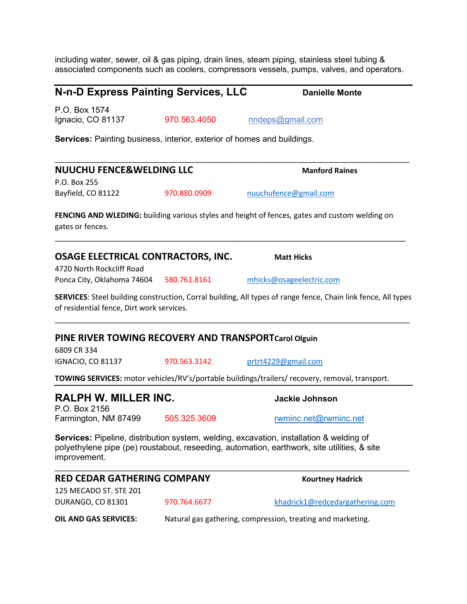including water, sewer, oil & gas piping, drain lines, steam piping, stainless steel tubing & associated components such as coolers, compressors vessels, pumps, valves, and operators.

 $\mathcal{L}_\mathcal{L} = \{ \mathcal{L}_\mathcal{L} = \{ \mathcal{L}_\mathcal{L} = \{ \mathcal{L}_\mathcal{L} = \{ \mathcal{L}_\mathcal{L} = \{ \mathcal{L}_\mathcal{L} = \{ \mathcal{L}_\mathcal{L} = \{ \mathcal{L}_\mathcal{L} = \{ \mathcal{L}_\mathcal{L} = \{ \mathcal{L}_\mathcal{L} = \{ \mathcal{L}_\mathcal{L} = \{ \mathcal{L}_\mathcal{L} = \{ \mathcal{L}_\mathcal{L} = \{ \mathcal{L}_\mathcal{L} = \{ \mathcal{L}_\mathcal{$ 

# **N-n-D Express Painting Services, LLC** Danielle Monte

P.O. Box 1574

Ignacio, CO 81137 970.563.4050 nndeps@gmail.com

**Services:** Painting business, interior, exterior of homes and buildings.

| <b>NUUCHU FENCE&amp;WELDING LLC</b>                                 |              | <b>Manford Raines</b>                                                                                                                                                                  |
|---------------------------------------------------------------------|--------------|----------------------------------------------------------------------------------------------------------------------------------------------------------------------------------------|
| P.O. Box 255<br>Bayfield, CO 81122                                  | 970.880.0909 | nuuchufence@gmail.com                                                                                                                                                                  |
|                                                                     |              |                                                                                                                                                                                        |
| gates or fences.                                                    |              | FENCING AND WLEDING: building various styles and height of fences, gates and custom welding on                                                                                         |
| OSAGE ELECTRICAL CONTRACTORS, INC.<br>4720 North Rockcliff Road     |              | <b>Matt Hicks</b>                                                                                                                                                                      |
| Ponca City, Oklahoma 74604 580.761.8161                             |              | mhicks@osageelectric.com                                                                                                                                                               |
| of residential fence, Dirt work services.                           |              | SERVICES: Steel building construction, Corral building, All types of range fence, Chain link fence, All types                                                                          |
| PINE RIVER TOWING RECOVERY AND TRANSPORTCarol Olguin<br>6809 CR 334 |              |                                                                                                                                                                                        |
| <b>IGNACIO, CO 81137</b>                                            | 970.563.3142 | prtrt4229@gmail.com                                                                                                                                                                    |
|                                                                     |              | TOWING SERVICES: motor vehicles/RV's/portable buildings/trailers/ recovery, removal, transport.                                                                                        |
| RALPH W. MILLER INC.<br>P.O. Box 2156                               |              | <b>Jackie Johnson</b>                                                                                                                                                                  |
| Farmington, NM 87499                                                | 505.325.3609 | rwminc.net@rwminc.net                                                                                                                                                                  |
| improvement.                                                        |              | Services: Pipeline, distribution system, welding, excavation, installation & welding of<br>polyethylene pipe (pe) roustabout, reseeding, automation, earthwork, site utilities, & site |
| <b>RED CEDAR GATHERING COMPANY</b>                                  |              | <b>Kourtney Hadrick</b>                                                                                                                                                                |
| 125 MECADO ST. STE 201                                              |              |                                                                                                                                                                                        |

**OIL AND GAS SERVICES:** Natural gas gathering, compression, treating and marketing.

DURANGO, CO 81301 970.764.6677 [khadrick1@redcedargathering.com](mailto:khadrick1@redcedargathering.com)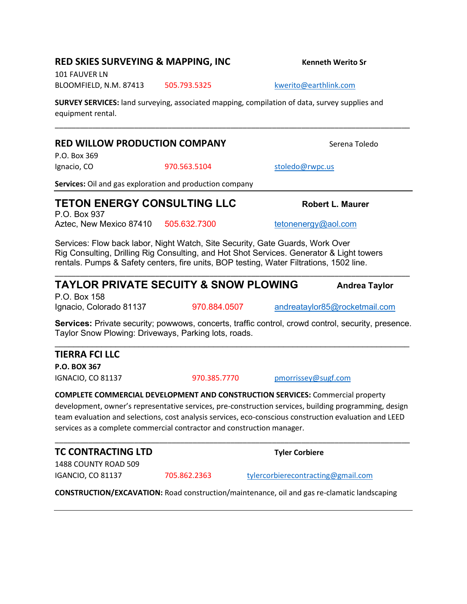### **RED SKIES SURVEYING & MAPPING, INC Kenneth Werito Sr**

101 FAUVER LN BLOOMFIELD, N.M. 87413 505.793.5325 [kwerito@earthlink.com](mailto:kwerito@earthlink.com)

**SURVEY SERVICES:** land surveying, associated mapping, compilation of data, survey supplies and equipment rental.

### **RED WILLOW PRODUCTION COMPANY** Serena Toledo

P.O. Box 369

Ignacio, CO 870.563.5104 [stoledo@rwpc.us](mailto:stoledo@rwpc.us)

**Services:** Oil and gas exploration and production company

# **TETON ENERGY CONSULTING LLC Robert L. Maurer**

P.O. Box 937 Aztec, New Mexico 87410 505.632.7300 [tetonenergy@aol.com](mailto:tetonenergy@aol.com)

Services: Flow back labor, Night Watch, Site Security, Gate Guards, Work Over Rig Consulting, Drilling Rig Consulting, and Hot Shot Services. Generator & Light towers rentals. Pumps & Safety centers, fire units, BOP testing, Water Filtrations, 1502 line.

# **TAYLOR PRIVATE SECUITY & SNOW PLOWING Andrea Taylor**

P.O. Box 158

Ignacio, Colorado 81137 970.884.0507 [andreataylor85@rocketmail.com](mailto:andreataylor85@rocketmail.com)

**Services:** Private security; powwows, concerts, traffic control, crowd control, security, presence. Taylor Snow Plowing: Driveways, Parking lots, roads.  $\mathcal{L}_\mathcal{L} = \{ \mathcal{L}_\mathcal{L} = \{ \mathcal{L}_\mathcal{L} = \{ \mathcal{L}_\mathcal{L} = \{ \mathcal{L}_\mathcal{L} = \{ \mathcal{L}_\mathcal{L} = \{ \mathcal{L}_\mathcal{L} = \{ \mathcal{L}_\mathcal{L} = \{ \mathcal{L}_\mathcal{L} = \{ \mathcal{L}_\mathcal{L} = \{ \mathcal{L}_\mathcal{L} = \{ \mathcal{L}_\mathcal{L} = \{ \mathcal{L}_\mathcal{L} = \{ \mathcal{L}_\mathcal{L} = \{ \mathcal{L}_\mathcal{$ 

\_\_\_\_\_\_\_\_\_\_\_\_\_\_\_\_\_\_\_\_\_\_\_\_\_\_\_\_\_\_\_\_\_\_\_\_\_\_\_\_\_\_\_\_\_\_\_\_\_\_\_\_\_\_\_\_\_\_\_\_\_\_\_\_\_\_\_\_\_\_\_\_\_\_\_\_\_\_\_\_\_\_\_\_\_

**TIERRA FCI LLC P.O. BOX 367**

IGNACIO, CO 81137 970.385.7770 [pmorrissey@sugf.com](mailto:pmorrissey@sugf.com)

**COMPLETE COMMERCIAL DEVELOPMENT AND CONSTRUCTION SERVICES:** Commercial property development, owner's representative services, pre-construction services, building programming, design team evaluation and selections, cost analysis services, eco-conscious construction evaluation and LEED services as a complete commercial contractor and construction manager.

\_\_\_\_\_\_\_\_\_\_\_\_\_\_\_\_\_\_\_\_\_\_\_\_\_\_\_\_\_\_\_\_\_\_\_\_\_\_\_\_\_\_\_\_\_\_\_\_\_\_\_\_\_\_\_\_\_\_\_\_\_\_\_\_\_\_\_\_\_\_\_\_\_\_\_\_\_\_\_\_\_\_\_\_\_

**TC CONTRACTING LTD Tyler Corbiere**

1488 COUNTY ROAD 509

IGANCIO, CO 81137 705.862.2363 [tylercorbierecontracting@gmail.com](mailto:tylercorbierecontracting@gmail.com)

**CONSTRUCTION/EXCAVATION:** Road construction/maintenance, oil and gas re-clamatic landscaping

\_\_\_\_\_\_\_\_\_\_\_\_\_\_\_\_\_\_\_\_\_\_\_\_\_\_\_\_\_\_\_\_\_\_\_\_\_\_\_\_\_\_\_\_\_\_\_\_\_\_\_\_\_\_\_\_\_\_\_\_\_\_\_\_\_\_\_\_\_\_\_\_\_\_\_\_\_\_\_\_\_\_\_\_\_